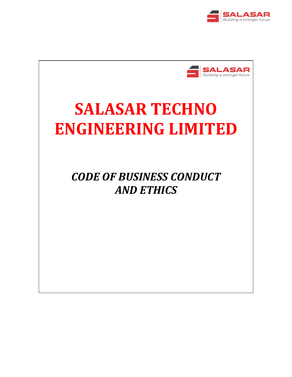



# **SALASAR TECHNO ENGINEERING LIMITED**

*CODE OF BUSINESS CONDUCT AND ETHICS*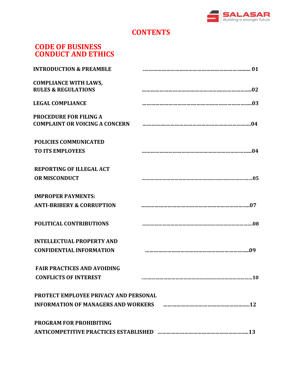

# **CONTENTS**

# **CODE OF BUSINESS CONDUCT AND ETHICS**

| <b>INTRODUCTION &amp; PREAMBLE</b>                                     |                                                                                   |
|------------------------------------------------------------------------|-----------------------------------------------------------------------------------|
| <b>COMPLIANCE WITH LAWS,</b><br><b>RULES &amp; REGULATIONS</b>         |                                                                                   |
| <b>LEGAL COMPLIANCE</b>                                                |                                                                                   |
| <b>PROCEDURE FOR FILING A</b><br><b>COMPLAINT OR VOICING A CONCERN</b> |                                                                                   |
| <b>POLICIES COMMUNICATED</b><br><b>TO ITS EMPLOYEES</b>                |                                                                                   |
| <b>REPORTING OF ILLEGAL ACT</b><br><b>OR MISCONDUCT</b>                |                                                                                   |
| <b>IMPROPER PAYMENTS:</b><br><b>ANTI-BRIBERY &amp; CORRUPTION</b>      |                                                                                   |
| POLITICAL CONTRIBUTIONS                                                |                                                                                   |
| <b>INTELLECTUAL PROPERTY AND</b><br><b>CONFIDENTIAL INFORMATION</b>    |                                                                                   |
| <b>FAIR PRACTICES AND AVOIDING</b><br><b>CONFLICTS OF INTEREST</b>     | <b>10</b>                                                                         |
| <b>PROTECT EMPLOYEE PRIVACY AND PERSONAL</b>                           | INFORMATION OF MANAGERS AND WORKERS FREEDOM CONTENTS AND THE MANAGERS AND WORKERS |
| <b>PROGRAM FOR PROHIBITING</b>                                         |                                                                                   |
|                                                                        |                                                                                   |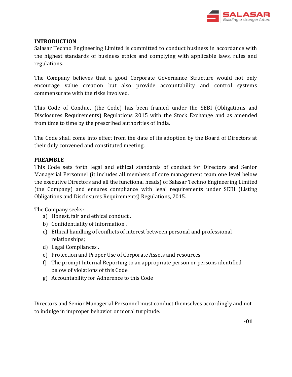

#### **INTRODUCTION**

Salasar Techno Engineering Limited is committed to conduct business in accordance with the highest standards of business ethics and complying with applicable laws, rules and regulations.

The Company believes that a good Corporate Governance Structure would not only encourage value creation but also provide accountability and control systems commensurate with the risks involved.

This Code of Conduct (the Code) has been framed under the SEBI (Obligations and Disclosures Requirements) Regulations 2015 with the Stock Exchange and as amended from time to time by the prescribed authorities of India.

The Code shall come into effect from the date of its adoption by the Board of Directors at their duly convened and constituted meeting.

#### **PREAMBLE**

This Code sets forth legal and ethical standards of conduct for Directors and Senior Managerial Personnel (it includes all members of core management team one level below the executive Directors and all the functional heads) of Salasar Techno Engineering Limited (the Company) and ensures compliance with legal requirements under SEBI (Listing Obligations and Disclosures Requirements) Regulations, 2015.

The Company seeks:

- a) Honest, fair and ethical conduct .
- b) Confidentiality of Information .
- c) Ethical handling of conflicts of interest between personal and professional relationships;
- d) Legal Compliances .
- e) Protection and Proper Use of Corporate Assets and resources
- f) The prompt Internal Reporting to an appropriate person or persons identified below of violations of this Code.
- g) Accountability for Adherence to this Code

Directors and Senior Managerial Personnel must conduct themselves accordingly and not to indulge in improper behavior or moral turpitude.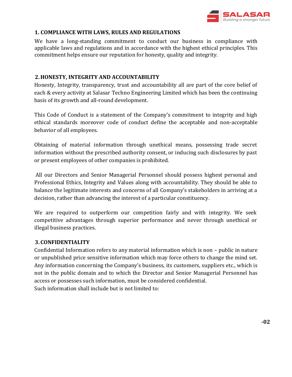

#### **1. COMPLIANCE WITH LAWS, RULES AND REGULATIONS**

We have a long-standing commitment to conduct our business in compliance with applicable laws and regulations and in accordance with the highest ethical principles. This commitment helps ensure our reputation for honesty, quality and integrity.

# **2.HONESTY, INTEGRITY AND ACCOUNTABILITY**

Honesty, Integrity, transparency, trust and accountability all are part of the core belief of each & every activity at Salasar Techno Engineering Limited which has been the continuing basis of its growth and all-round development.

This Code of Conduct is a statement of the Company's commitment to integrity and high ethical standards moreover code of conduct define the acceptable and non-acceptable behavior of all employees.

Obtaining of material information through unethical means, possessing trade secret information without the prescribed authority consent, or inducing such disclosures by past or present employees of other companies is prohibited.

All our Directors and Senior Managerial Personnel should possess highest personal and Professional Ethics, Integrity and Values along with accountability. They should be able to balance the legitimate interests and concerns of all Company's stakeholders in arriving at a decision, rather than advancing the interest of a particular constituency.

We are required to outperform our competition fairly and with integrity. We seek competitive advantages through superior performance and never through unethical or illegal business practices.

#### **3.CONFIDENTIALITY**

Confidential Information refers to any material information which is non – public in nature or unpublished price sensitive information which may force others to change the mind set. Any information concerning the Company's business, its customers, suppliers etc., which is not in the public domain and to which the Director and Senior Managerial Personnel has access or possesses such information, must be considered confidential. Such information shall include but is not limited to: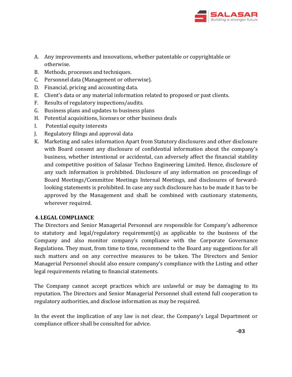

- A. Any improvements and innovations, whether patentable or copyrightable or otherwise.
- B. Methods, processes and techniques.
- C. Personnel data (Management or otherwise).
- D. Financial, pricing and accounting data.
- E. Client's data or any material information related to proposed or past clients.
- F. Results of regulatory inspections/audits.
- G. Business plans and updates to business plans
- H. Potential acquisitions, licenses or other business deals
- I. Potential equity interests
- J. Regulatory filings and approval data
- K. Marketing and sales information Apart from Statutory disclosures and other disclosure with Board consent any disclosure of confidential information about the company's business, whether intentional or accidental, can adversely affect the financial stability and competitive position of Salasar Techno Engineering Limited. Hence, disclosure of any such information is prohibited. Disclosure of any information on proceedings of Board Meetings/Committee Meetings Internal Meetings, and disclosures of forwardlooking statements is prohibited. In case any such disclosure has to be made it has to be approved by the Management and shall be combined with cautionary statements, wherever required.

#### **4.LEGAL COMPLIANCE**

The Directors and Senior Managerial Personnel are responsible for Company's adherence to statutory and legal/regulatory requirement(s) as applicable to the business of the Company and also monitor company's compliance with the Corporate Governance Regulations. They must, from time to time, recommend to the Board any suggestions for all such matters and on any corrective measures to be taken. The Directors and Senior Managerial Personnel should also ensure company's compliance with the Listing and other legal requirements relating to financial statements.

The Company cannot accept practices which are unlawful or may be damaging to its reputation. The Directors and Senior Managerial Personnel shall extend full cooperation to regulatory authorities, and disclose information as may be required.

In the event the implication of any law is not clear, the Company's Legal Department or compliance officer shall be consulted for advice.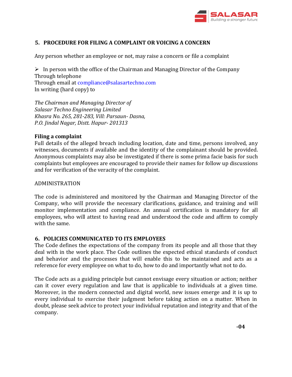

#### **5. PROCEDURE FOR FILING A COMPLAINT OR VOICING A CONCERN**

Any person whether an employee or not, may raise a concern or file a complaint

 $\triangleright$  In person with the office of the Chairman and Managing Director of the Company Through telephone Through email at compliance@salasartechno.com In writing (hard copy) to

*The Chairman and Managing Director of Salasar Techno Engineering Limited Khasra No. 265, 281-283, Vill: Parsaun- Dasna, P.O. Jindal Nagar, Distt. Hapur- 201313*

#### **Filing a complaint**

Full details of the alleged breach including location, date and time, persons involved, any witnesses, documents if available and the identity of the complainant should be provided. Anonymous complaints may also be investigated if there is some prima facie basis for such complaints but employees are encouraged to provide their names for follow up discussions and for verification of the veracity of the complaint.

#### ADMINISTRATION

The code is administered and monitored by the Chairman and Managing Director of the Company, who will provide the necessary clarifications, guidance, and training and will monitor implementation and compliance. An annual certification is mandatory for all employees, who will attest to having read and understood the code and affirm to comply with the same.

#### **6. POLICIES COMMUNICATED TO ITS EMPLOYEES**

The Code defines the expectations of the company from its people and all those that they deal with in the work place. The Code outlines the expected ethical standards of conduct and behavior and the processes that will enable this to be maintained and acts as a reference for every employee on what to do, how to do and importantly what not to do.

The Code acts as a guiding principle but cannot envisage every situation or action; neither can it cover every regulation and law that is applicable to individuals at a given time. Moreover, in the modern connected and digital world, new issues emerge and it is up to every individual to exercise their judgment before taking action on a matter. When in doubt, please seek advice to protect your individual reputation and integrity and that of the company.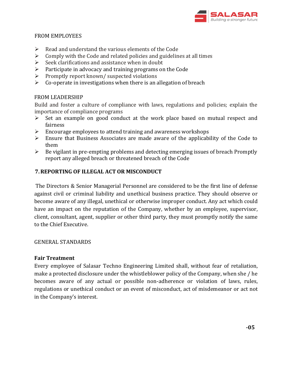

#### FROM EMPLOYEES

- $\triangleright$  Read and understand the various elements of the Code
- $\triangleright$  Comply with the Code and related policies and guidelines at all times
- $\triangleright$  Seek clarifications and assistance when in doubt
- $\triangleright$  Participate in advocacy and training programs on the Code
- $\triangleright$  Promptly report known/ suspected violations
- $\triangleright$  Co-operate in investigations when there is an allegation of breach

# FROM LEADERSHIP

Build and foster a culture of compliance with laws, regulations and policies; explain the importance of compliance programs

- $\triangleright$  Set an example on good conduct at the work place based on mutual respect and fairness
- $\triangleright$  Encourage employees to attend training and awareness workshops
- Ensure that Business Associates are made aware of the applicability of the Code to them
- $\triangleright$  Be vigilant in pre-empting problems and detecting emerging issues of breach Promptly report any alleged breach or threatened breach of the Code

# **7.REPORTING OF ILLEGAL ACT OR MISCONDUCT**

The Directors & Senior Managerial Personnel are considered to be the first line of defense against civil or criminal liability and unethical business practice. They should observe or become aware of any illegal, unethical or otherwise improper conduct. Any act which could have an impact on the reputation of the Company, whether by an employee, supervisor, client, consultant, agent, supplier or other third party, they must promptly notify the same to the Chief Executive.

#### GENERAL STANDARDS

#### **Fair Treatment**

Every employee of Salasar Techno Engineering Limited shall, without fear of retaliation, make a protected disclosure under the whistleblower policy of the Company, when she / he becomes aware of any actual or possible non-adherence or violation of laws, rules, regulations or unethical conduct or an event of misconduct, act of misdemeanor or act not in the Company's interest.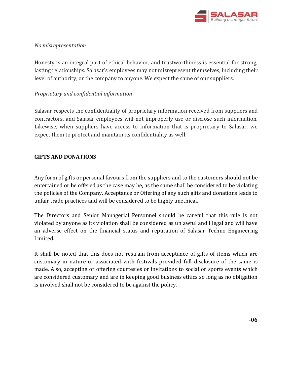

#### *No misrepresentation*

Honesty is an integral part of ethical behavior, and trustworthiness is essential for strong, lasting relationships. Salasar's employees may not misrepresent themselves, including their level of authority, or the company to anyone. We expect the same of our suppliers.

# *Proprietary and confidential information*

Salasar respects the confidentiality of proprietary information received from suppliers and contractors, and Salasar employees will not improperly use or disclose such information. Likewise, when suppliers have access to information that is proprietary to Salasar, we expect them to protect and maintain its confidentiality as well.

# **GIFTS AND DONATIONS**

Any form of gifts or personal favours from the suppliers and to the customers should not be entertained or be offered as the case may be, as the same shall be considered to be violating the policies of the Company. Acceptance or Offering of any such gifts and donations leads to unfair trade practices and will be considered to be highly unethical.

The Directors and Senior Managerial Personnel should be careful that this rule is not violated by anyone as its violation shall be considered as unlawful and illegal and will have an adverse effect on the financial status and reputation of Salasar Techno Engineering Limited.

It shall be noted that this does not restrain from acceptance of gifts of items which are customary in nature or associated with festivals provided full disclosure of the same is made. Also, accepting or offering courtesies or invitations to social or sports events which are considered customary and are in keeping good business ethics so long as no obligation is involved shall not be considered to be against the policy.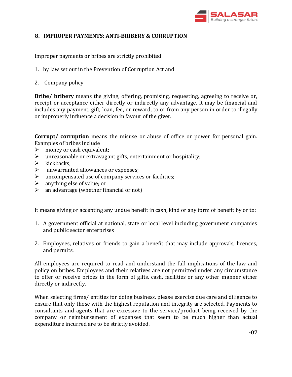

#### **8. IMPROPER PAYMENTS: ANTI-BRIBERY & CORRUPTION**

Improper payments or bribes are strictly prohibited

- 1. by law set out in the Prevention of Corruption Act and
- 2. Company policy

**Bribe/ bribery** means the giving, offering, promising, requesting, agreeing to receive or, receipt or acceptance either directly or indirectly any advantage. It may be financial and includes any payment, gift, loan, fee, or reward, to or from any person in order to illegally or improperly influence a decision in favour of the giver.

**Corrupt/ corruption** means the misuse or abuse of office or power for personal gain. Examples of bribes include

- $\triangleright$  money or cash equivalent;
- $\triangleright$  unreasonable or extravagant gifts, entertainment or hospitality;
- $\triangleright$  kickbacks:
- unwarranted allowances or expenses;
- $\triangleright$  uncompensated use of company services or facilities;
- $\triangleright$  anything else of value; or
- $\triangleright$  an advantage (whether financial or not)

It means giving or accepting any undue benefit in cash, kind or any form of benefit by or to:

- 1. A government official at national, state or local level including government companies and public sector enterprises
- 2. Employees, relatives or friends to gain a benefit that may include approvals, licences, and permits.

All employees are required to read and understand the full implications of the law and policy on bribes. Employees and their relatives are not permitted under any circumstance to offer or receive bribes in the form of gifts, cash, facilities or any other manner either directly or indirectly.

When selecting firms/ entities for doing business, please exercise due care and diligence to ensure that only those with the highest reputation and integrity are selected. Payments to consultants and agents that are excessive to the service/product being received by the company or reimbursement of expenses that seem to be much higher than actual expenditure incurred are to be strictly avoided.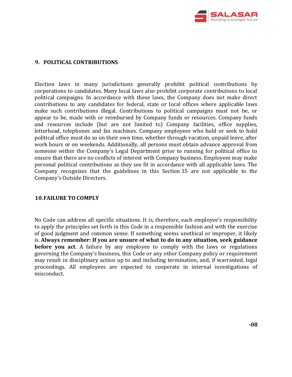

#### **9. POLITICAL CONTRIBUTIONS**

Election laws in many jurisdictions generally prohibit political contributions by corporations to candidates. Many local laws also prohibit corporate contributions to local political campaigns. In accordance with these laws, the Company does not make direct contributions to any candidates for federal, state or local offices where applicable laws make such contributions illegal. Contributions to political campaigns must not be, or appear to be, made with or reimbursed by Company funds or resources. Company funds and resources include (but are not limited to) Company facilities, office supplies, letterhead, telephones and fax machines. Company employees who hold or seek to hold political office must do so on their own time, whether through vacation, unpaid leave, after work hours or on weekends. Additionally, all persons must obtain advance approval from someone within the Company's Legal Department prior to running for political office to ensure that there are no conflicts of interest with Company business. Employees may make personal political contributions as they see fit in accordance with all applicable laws. The Company recognizes that the guidelines in this Section 15 are not applicable to the Company's Outside Directors.

#### **10.FAILURE TO COMPLY**

No Code can address all specific situations. It is, therefore, each employee's responsibility to apply the principles set forth in this Code in a responsible fashion and with the exercise of good judgment and common sense. If something seems unethical or improper, it likely is. **Always remember: If you are unsure of what to do in any situation, seek guidance before you act.** A failure by any employee to comply with the laws or regulations governing the Company's business, this Code or any other Company policy or requirement may result in disciplinary action up to and including termination, and, if warranted, legal proceedings. All employees are expected to cooperate in internal investigations of misconduct.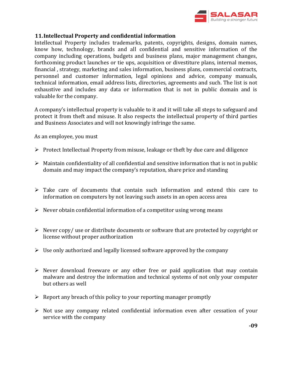

#### **11.Intellectual Property and confidential information**

Intellectual Property includes trademarks, patents, copyrights, designs, domain names, know how, technology, brands and all confidential and sensitive information of the company including operations, budgets and business plans, major management changes, forthcoming product launches or tie ups, acquisition or divestiture plans, internal memos, financial , strategy, marketing and sales information, business plans, commercial contracts, personnel and customer information, legal opinions and advice, company manuals, technical information, email address lists, directories, agreements and such. The list is not exhaustive and includes any data or information that is not in public domain and is valuable for the company.

A company's intellectual property is valuable to it and it will take all steps to safeguard and protect it from theft and misuse. It also respects the intellectual property of third parties and Business Associates and will not knowingly infringe the same.

As an employee, you must

- $\triangleright$  Protect Intellectual Property from misuse, leakage or theft by due care and diligence
- $\triangleright$  Maintain confidentiality of all confidential and sensitive information that is not in public domain and may impact the company's reputation, share price and standing
- $\triangleright$  Take care of documents that contain such information and extend this care to information on computers by not leaving such assets in an open access area
- $\triangleright$  Never obtain confidential information of a competitor using wrong means
- $\triangleright$  Never copy/ use or distribute documents or software that are protected by copyright or license without proper authorization
- $\triangleright$  Use only authorized and legally licensed software approved by the company
- $\triangleright$  Never download freeware or any other free or paid application that may contain malware and destroy the information and technical systems of not only your computer but others as well
- $\triangleright$  Report any breach of this policy to your reporting manager promptly
- $\triangleright$  Not use any company related confidential information even after cessation of your service with the company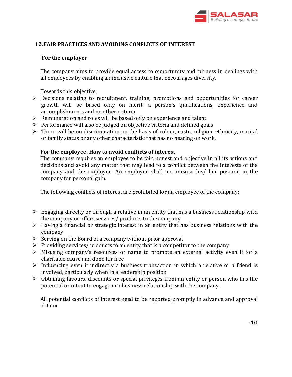

### **12.FAIR PRACTICES AND AVOIDING CONFLICTS OF INTEREST**

#### **For the employer**

The company aims to provide equal access to opportunity and fairness in dealings with all employees by enabling an inclusive culture that encourages diversity.

Towards this objective

- Decisions relating to recruitment, training, promotions and opportunities for career growth will be based only on merit: a person's qualifications, experience and accomplishments and no other criteria
- $\triangleright$  Remuneration and roles will be based only on experience and talent
- $\triangleright$  Performance will also be judged on objective criteria and defined goals
- $\triangleright$  There will be no discrimination on the basis of colour, caste, religion, ethnicity, marital or family status or any other characteristic that has no bearing on work.

#### **For the employee: How to avoid conflicts of interest**

The company requires an employee to be fair, honest and objective in all its actions and decisions and avoid any matter that may lead to a conflict between the interests of the company and the employee. An employee shall not misuse his/ her position in the company for personal gain.

The following conflicts of interest are prohibited for an employee of the company:

- $\triangleright$  Engaging directly or through a relative in an entity that has a business relationship with the company or offers services/ products to the company
- $\triangleright$  Having a financial or strategic interest in an entity that has business relations with the company
- $\triangleright$  Serving on the Board of a company without prior approval
- $\triangleright$  Providing services/ products to an entity that is a competitor to the company
- Misusing company's resources or name to promote an external activity even if for a charitable cause and done for free
- $\triangleright$  Influencing even if indirectly a business transaction in which a relative or a friend is involved, particularly when in a leadership position
- $\triangleright$  Obtaining favours, discounts or special privileges from an entity or person who has the potential or intent to engage in a business relationship with the company.

All potential conflicts of interest need to be reported promptly in advance and approval obtaine.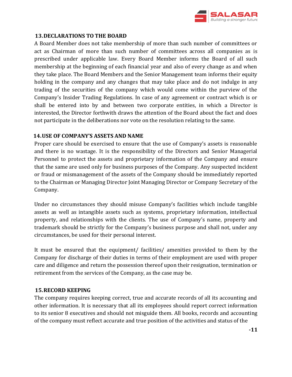

#### **13.DECLARATIONS TO THE BOARD**

A Board Member does not take membership of more than such number of committees or act as Chairman of more than such number of committees across all companies as is prescribed under applicable law. Every Board Member informs the Board of all such membership at the beginning of each financial year and also of every change as and when they take place. The Board Members and the Senior Management team informs their equity holding in the company and any changes that may take place and do not indulge in any trading of the securities of the company which would come within the purview of the Company's Insider Trading Regulations. In case of any agreement or contract which is or shall be entered into by and between two corporate entities, in which a Director is interested, the Director forthwith draws the attention of the Board about the fact and does not participate in the deliberations nor vote on the resolution relating to the same.

#### **14.USE OF COMPANY'S ASSETS AND NAME**

Proper care should be exercised to ensure that the use of Company's assets is reasonable and there is no wastage. It is the responsibility of the Directors and Senior Managerial Personnel to protect the assets and proprietary information of the Company and ensure that the same are used only for business purposes of the Company. Any suspected incident or fraud or mismanagement of the assets of the Company should be immediately reported to the Chairman or Managing Director Joint Managing Director or Company Secretary of the Company.

Under no circumstances they should misuse Company's facilities which include tangible assets as well as intangible assets such as systems, proprietary information, intellectual property, and relationships with the clients. The use of Company's name, property and trademark should be strictly for the Company's business purpose and shall not, under any circumstances, be used for their personal interest.

It must be ensured that the equipment/ facilities/ amenities provided to them by the Company for discharge of their duties in terms of their employment are used with proper care and diligence and return the possession thereof upon their resignation, termination or retirement from the services of the Company, as the case may be.

#### **15.RECORD KEEPING**

The company requires keeping correct, true and accurate records of all its accounting and other information. It is necessary that all its employees should report correct information to its senior 8 executives and should not misguide them. All books, records and accounting of the company must reflect accurate and true position of the activities and status of the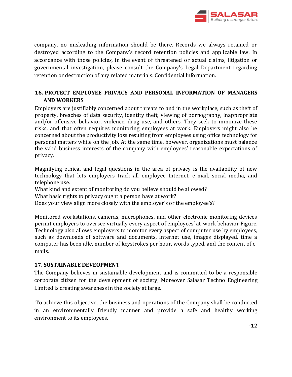

company, no misleading information should be there. Records we always retained or destroyed according to the Company's record retention policies and applicable law. In accordance with those policies, in the event of threatened or actual claims, litigation or governmental investigation, please consult the Company's Legal Department regarding retention or destruction of any related materials. Confidential Information.

# **16. PROTECT EMPLOYEE PRIVACY AND PERSONAL INFORMATION OF MANAGERS AND WORKERS**

Employers are justifiably concerned about threats to and in the workplace, such as theft of property, breaches of data security, identity theft, viewing of pornography, inappropriate and/or offensive behavior, violence, drug use, and others. They seek to minimize these risks, and that often requires monitoring employees at work. Employers might also be concerned about the productivity loss resulting from employees using office technology for personal matters while on the job. At the same time, however, organizations must balance the valid business interests of the company with employees' reasonable expectations of privacy.

Magnifying ethical and legal questions in the area of privacy is the availability of new technology that lets employers track all employee Internet, e-mail, social media, and telephone use.

What kind and extent of monitoring do you believe should be allowed?

What basic rights to privacy ought a person have at work?

Does your view align more closely with the employer's or the employee's?

Monitored workstations, cameras, microphones, and other electronic monitoring devices permit employers to oversee virtually every aspect of employees' at-work behavior Figure. Technology also allows employers to monitor every aspect of computer use by employees, such as downloads of software and documents, Internet use, images displayed, time a computer has been idle, number of keystrokes per hour, words typed, and the content of emails.

# **17. SUSTAINABLE DEVEOPMENT**

The Company believes in sustainable development and is committed to be a responsible corporate citizen for the development of society; Moreover Salasar Techno Engineering Limited is creating awareness in the society at large.

To achieve this objective, the business and operations of the Company shall be conducted in an environmentally friendly manner and provide a safe and healthy working environment to its employees.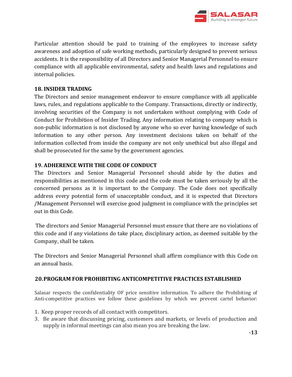

Particular attention should be paid to training of the employees to increase safety awareness and adoption of safe working methods, particularly designed to prevent serious accidents. It is the responsibility of all Directors and Senior Managerial Personnel to ensure compliance with all applicable environmental, safety and health laws and regulations and internal policies.

# **18. INSIDER TRADING**

The Directors and senior management endeavor to ensure compliance with all applicable laws, rules, and regulations applicable to the Company. Transactions, directly or indirectly, involving securities of the Company is not undertaken without complying with Code of Conduct for Prohibition of Insider Trading. Any information relating to company which is non-public information is not disclosed by anyone who so ever having knowledge of such information to any other person. Any investment decisions taken on behalf of the information collected from inside the company are not only unethical but also illegal and shall be prosecuted for the same by the government agencies.

# **19. ADHERENCE WITH THE CODE OF CONDUCT**

The Directors and Senior Managerial Personnel should abide by the duties and responsibilities as mentioned in this code and the code must be taken seriously by all the concerned persons as it is important to the Company. The Code does not specifically address every potential form of unacceptable conduct, and it is expected that Directors /Management Personnel will exercise good judgment in compliance with the principles set out in this Code.

The directors and Senior Managerial Personnel must ensure that there are no violations of this code and if any violations do take place, disciplinary action, as deemed suitable by the Company, shall be taken.

The Directors and Senior Managerial Personnel shall affirm compliance with this Code on an annual basis.

#### **20.PROGRAM FOR PROHIBITING ANTICOMPETITIVE PRACTICES ESTABLISHED**

Salasar respects the confidentiality OF price sensitive information. To adhere the Prohibiting of Anti-competitive practices we follow these guidelines by which we prevent cartel behavior:

- 1. Keep proper records of all contact with competitors.
- 3. Be aware that discussing pricing, customers and markets, or levels of production and supply in informal meetings can also mean you are breaking the law.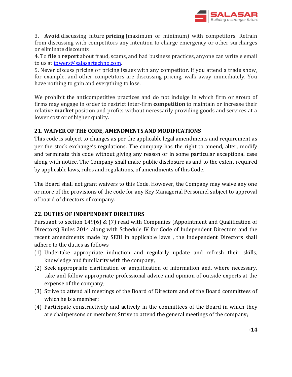

3. **Avoid** discussing future **pricing** (maximum or minimum) with competitors. Refrain from discussing with competitors any intention to charge emergency or other surcharges or eliminate discounts

4. To **file** a **report** about fraud, scams, and bad business practices, anyone can write e email to us at [towers@salasartechno.com.](mailto:towers@salasartechno.com)

5. Never discuss pricing or pricing issues with any competitor. If you attend a trade show, for example, and other competitors are discussing pricing, walk away immediately. You have nothing to gain and everything to lose.

We prohibit the anticompetitive practices and do not indulge in which firm or group of firms may engage in order to restrict inter-firm **competition** to maintain or increase their relative **market** position and profits without necessarily providing goods and services at a lower cost or of higher quality.

# **21. WAIVER OF THE CODE, AMENDMENTS AND MODIFICATIONS**

This code is subject to changes as per the applicable legal amendments and requirement as per the stock exchange's regulations. The company has the right to amend, alter, modify and terminate this code without giving any reason or in some particular exceptional case along with notice. The Company shall make public disclosure as and to the extent required by applicable laws, rules and regulations, of amendments of this Code.

The Board shall not grant waivers to this Code. However, the Company may waive any one or more of the provisions of the code for any Key Managerial Personnel subject to approval of board of directors of company.

#### **22. DUTIES OF INDEPENDENT DIRECTORS**

Pursuant to section 149(6) & (7) read with Companies (Appointment and Qualification of Directors) Rules 2014 along with Schedule IV for Code of Independent Directors and the recent amendments made by SEBI in applicable laws , the Independent Directors shall adhere to the duties as follows –

- (1) Undertake appropriate induction and regularly update and refresh their skills, knowledge and familiarity with the company;
- (2) Seek appropriate clarification or amplification of information and, where necessary, take and follow appropriate professional advice and opinion of outside experts at the expense of the company;
- (3) Strive to attend all meetings of the Board of Directors and of the Board committees of which he is a member;
- (4) Participate constructively and actively in the committees of the Board in which they are chairpersons or members;Strive to attend the general meetings of the company;